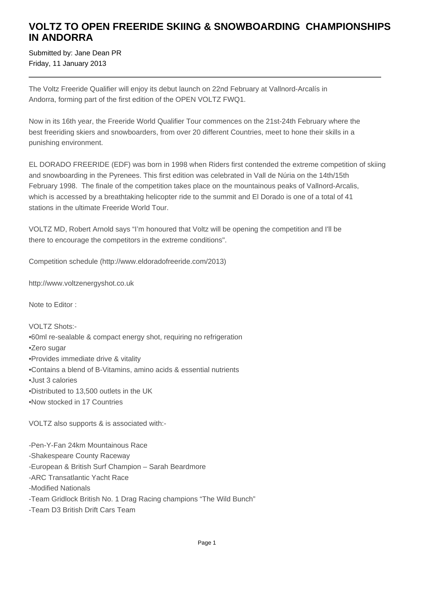## **VOLTZ TO OPEN FREERIDE SKIING & SNOWBOARDING CHAMPIONSHIPS IN ANDORRA**

Submitted by: Jane Dean PR Friday, 11 January 2013

The Voltz Freeride Qualifier will enjoy its debut launch on 22nd February at Vallnord-Arcalís in Andorra, forming part of the first edition of the OPEN VOLTZ FWQ1.

Now in its 16th year, the Freeride World Qualifier Tour commences on the 21st-24th February where the best freeriding skiers and snowboarders, from over 20 different Countries, meet to hone their skills in a punishing environment.

EL DORADO FREERIDE (EDF) was born in 1998 when Riders first contended the extreme competition of skiing and snowboarding in the Pyrenees. This first edition was celebrated in Vall de Núria on the 14th/15th February 1998. The finale of the competition takes place on the mountainous peaks of Vallnord-Arcalis, which is accessed by a breathtaking helicopter ride to the summit and El Dorado is one of a total of 41 stations in the ultimate Freeride World Tour.

VOLTZ MD, Robert Arnold says "I'm honoured that Voltz will be opening the competition and I'll be there to encourage the competitors in the extreme conditions".

Competition schedule (http://www.eldoradofreeride.com/2013)

http://www.voltzenergyshot.co.uk

Note to Editor :

VOLTZ Shots:-

- • 60ml re-sealable & compact energy shot, requiring no refrigeration
- • Zero sugar
- • Provides immediate drive & vitality
- • Contains a blend of B-Vitamins, amino acids & essential nutrients
- Just 3 calories
- • Distributed to 13,500 outlets in the UK
- Now stocked in 17 Countries

VOLTZ also supports & is associated with:-

- Pen-Y-Fan 24km Mountainous Race
- Shakespeare County Raceway
- European & British Surf Champion Sarah Beardmore
- ARC Transatlantic Yacht Race
- Modified Nationals
- Team Gridlock British No. 1 Drag Racing champions "The Wild Bunch"
- Team D3 British Drift Cars Team